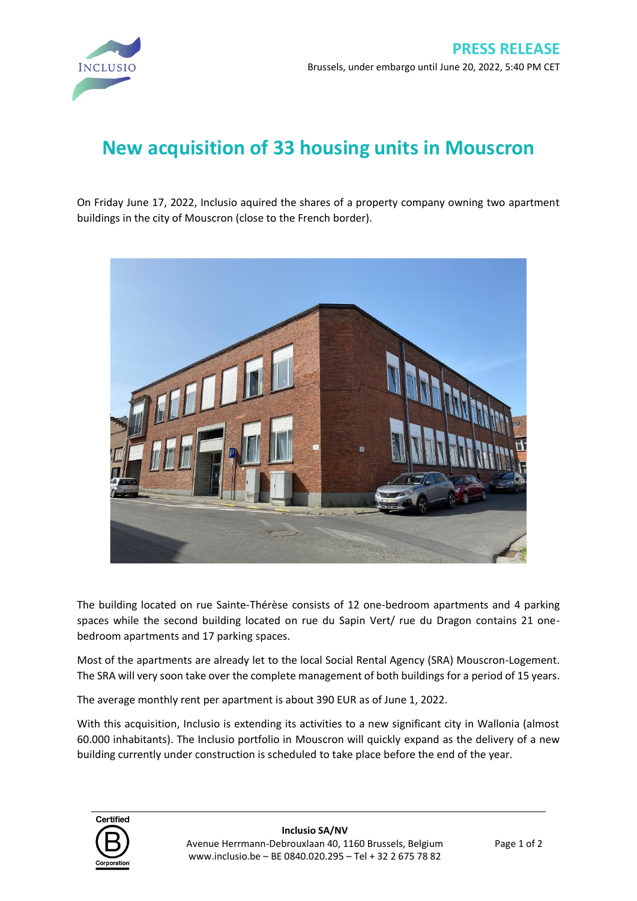

## **New acquisition of 33 housing units in Mouscron**

On Friday June 17, 2022, Inclusio aquired the shares of a property company owning two apartment buildings in the city of Mouscron (close to the French border).



The building located on rue Sainte-Thérèse consists of 12 one-bedroom apartments and 4 parking spaces while the second building located on rue du Sapin Vert/ rue du Dragon contains 21 onebedroom apartments and 17 parking spaces.

Most of the apartments are already let to the local Social Rental Agency (SRA) Mouscron-Logement. The SRA will very soon take over the complete management of both buildings for a period of 15 years.

The average monthly rent per apartment is about 390 EUR as of June 1, 2022.

With this acquisition, Inclusio is extending its activities to a new significant city in Wallonia (almost 60.000 inhabitants). The Inclusio portfolio in Mouscron will quickly expand as the delivery of a new building currently under construction is scheduled to take place before the end of the year.